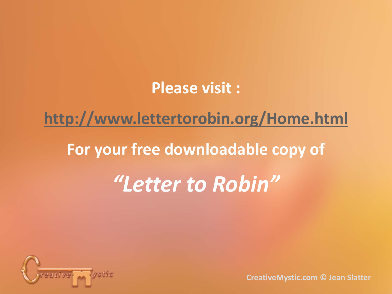#### **Please visit :**

#### **<http://www.lettertorobin.org/Home.html>**

#### **For your free downloadable copy of**

### *"Letter to Robin"*

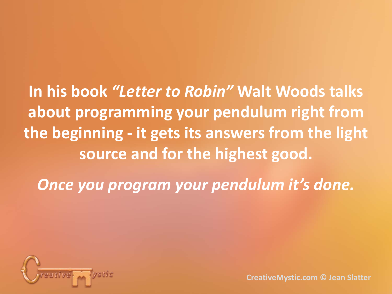**In his book** *"Letter to Robin"* **Walt Woods talks about programming your pendulum right from the beginning - it gets its answers from the light source and for the highest good.**

*Once you program your pendulum it's done.* 

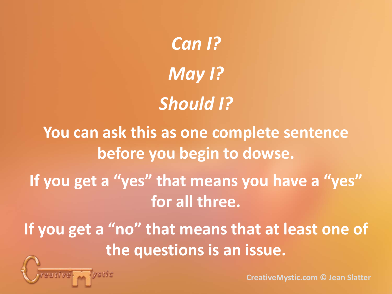*Can I? May I? Should I?* **You can ask this as one complete sentence before you begin to dowse. If you get a "yes" that means you have a "yes" for all three. If you get a "no" that means that at least one of the questions is an issue.**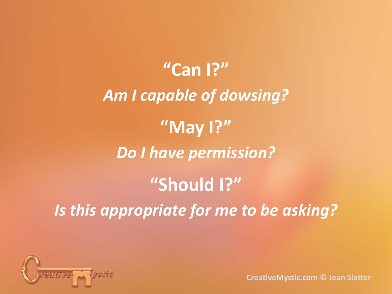**"Can I?"** *Am I capable of dowsing?* **"May I?"** *Do I have permission?* **"Should I?"** *Is this appropriate for me to be asking?*

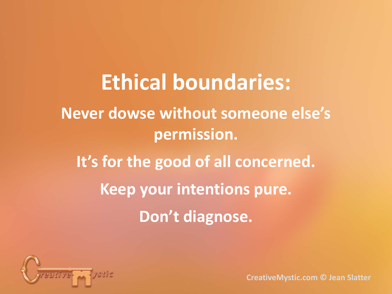**Ethical boundaries: Never dowse without someone else's permission. It's for the good of all concerned. Keep your intentions pure. Don't diagnose.**

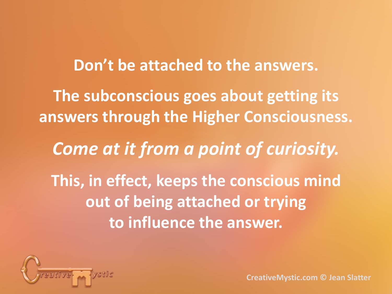**Don't be attached to the answers. The subconscious goes about getting its answers through the Higher Consciousness.** *Come at it from a point of curiosity.* **This, in effect, keeps the conscious mind out of being attached or trying to influence the answer.**

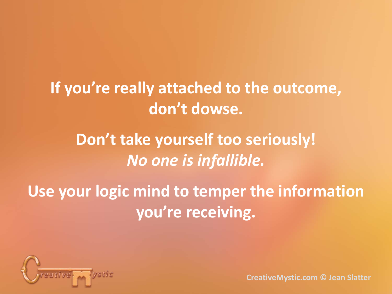#### **If you're really attached to the outcome, don't dowse.**

### **Don't take yourself too seriously!** *No one is infallible.*

### **Use your logic mind to temper the information you're receiving.**

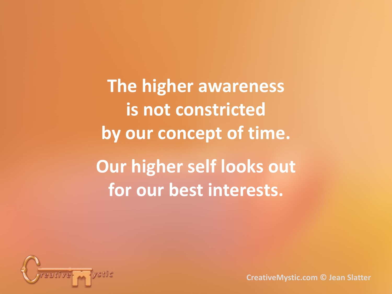**The higher awareness is not constricted by our concept of time. Our higher self looks out for our best interests.**

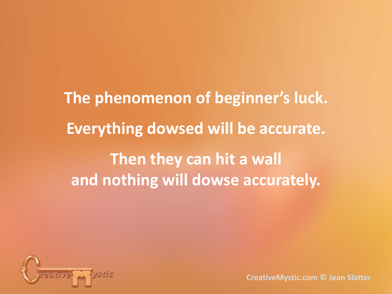**The phenomenon of beginner's luck. Everything dowsed will be accurate. Then they can hit a wall and nothing will dowse accurately.**

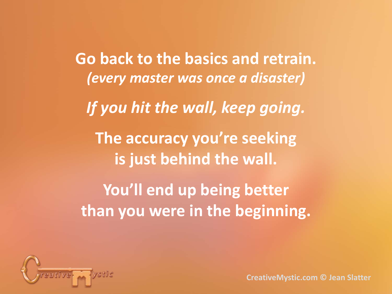**Go back to the basics and retrain.** *(every master was once a disaster) If you hit the wall, keep going.* **The accuracy you're seeking is just behind the wall. You'll end up being better than you were in the beginning.**

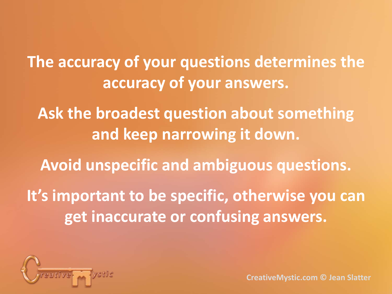**The accuracy of your questions determines the accuracy of your answers.**

**Ask the broadest question about something and keep narrowing it down.**

**Avoid unspecific and ambiguous questions.**

**It's important to be specific, otherwise you can get inaccurate or confusing answers.**

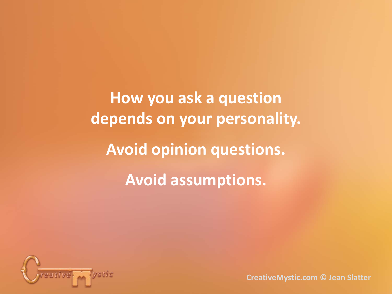**How you ask a question depends on your personality. Avoid opinion questions. Avoid assumptions.**

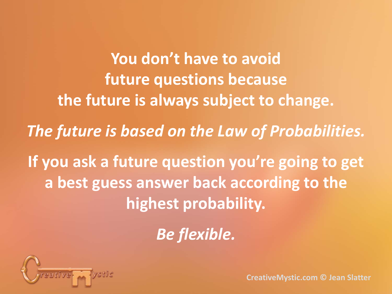**You don't have to avoid future questions because the future is always subject to change.** *The future is based on the Law of Probabilities.* **If you ask a future question you're going to get a best guess answer back according to the highest probability.**

*Be flexible.*

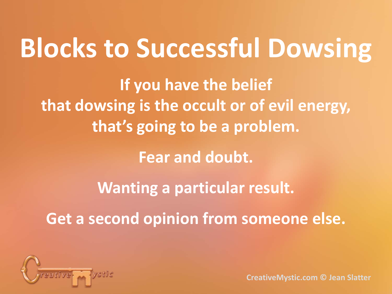# **Blocks to Successful Dowsing**

**If you have the belief that dowsing is the occult or of evil energy, that's going to be a problem.**

**Fear and doubt.**

**Wanting a particular result.**

**Get a second opinion from someone else.**

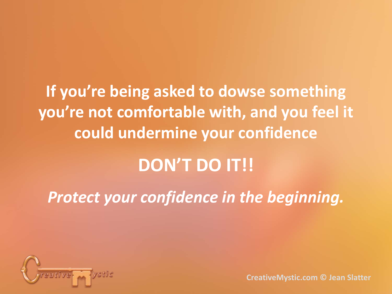**If you're being asked to dowse something you're not comfortable with, and you feel it could undermine your confidence**

### **DON'T DO IT!!**

*Protect your confidence in the beginning.*

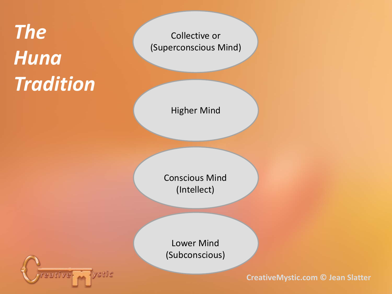## *The Huna Tradition*

Collective or (Superconscious Mind)

Higher Mind

Conscious Mind (Intellect)

Lower Mind (Subconscious)

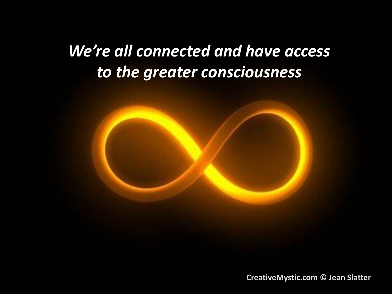### *We're all connected and have access to the greater consciousness*

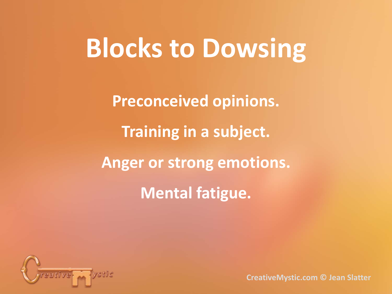# **Blocks to Dowsing**

**Preconceived opinions. Training in a subject. Anger or strong emotions. Mental fatigue.**

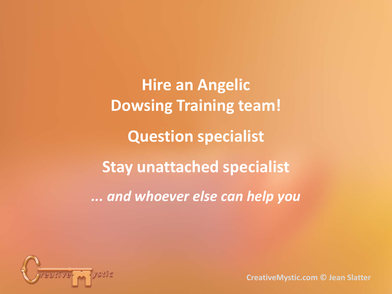**Hire an Angelic Dowsing Training team! Question specialist Stay unattached specialist** *... and whoever else can help you*

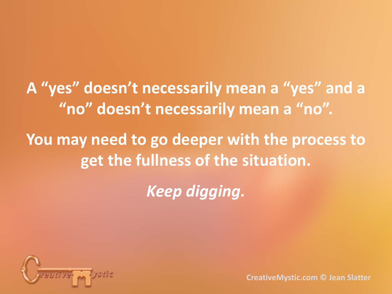**A "yes" doesn't necessarily mean a "yes" and a "no" doesn't necessarily mean a "no". You may need to go deeper with the process to get the fullness of the situation.**

*Keep digging.*

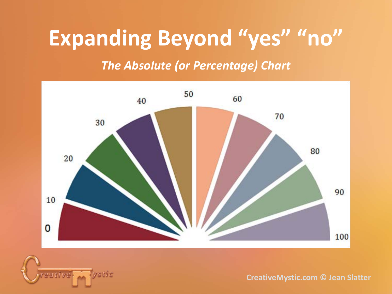### **Expanding Beyond "yes" "no"**

*The Absolute (or Percentage) Chart*



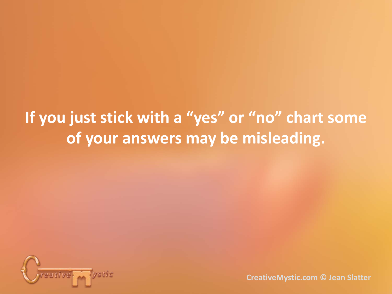### **If you just stick with a "yes" or "no" chart some of your answers may be misleading.**

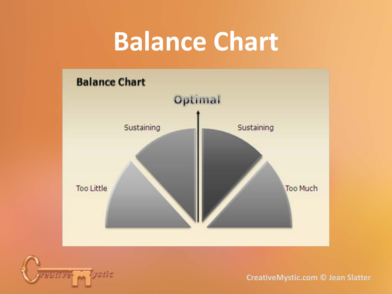# **Balance Chart**



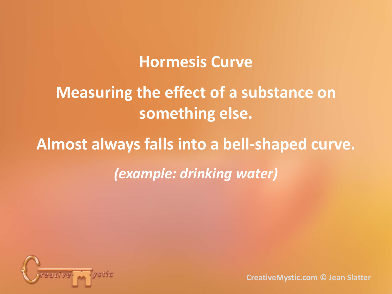#### **Hormesis Curve**

### **Measuring the effect of a substance on something else.**

### **Almost always falls into a bell-shaped curve.** *(example: drinking water)*

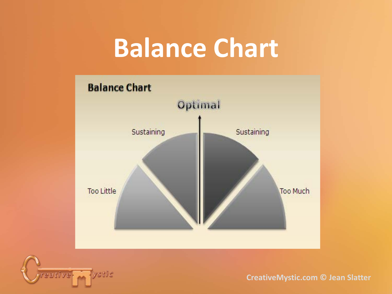# **Balance Chart**



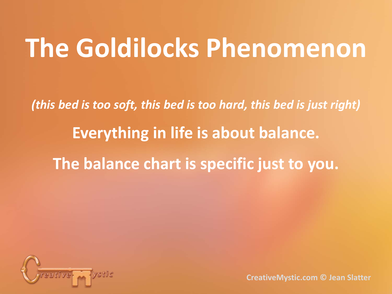# **The Goldilocks Phenomenon**

*(this bed is too soft, this bed is too hard, this bed is just right)* **Everything in life is about balance. The balance chart is specific just to you.**

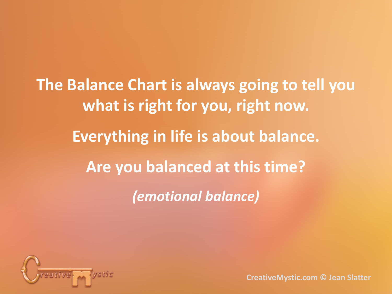**The Balance Chart is always going to tell you what is right for you, right now. Everything in life is about balance. Are you balanced at this time?** *(emotional balance)*

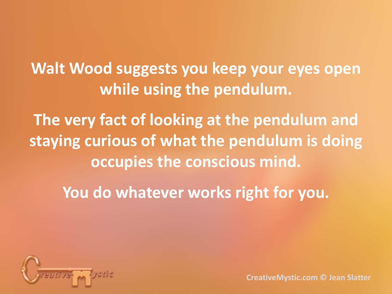**Walt Wood suggests you keep your eyes open while using the pendulum.**

**The very fact of looking at the pendulum and staying curious of what the pendulum is doing occupies the conscious mind.**

**You do whatever works right for you.**

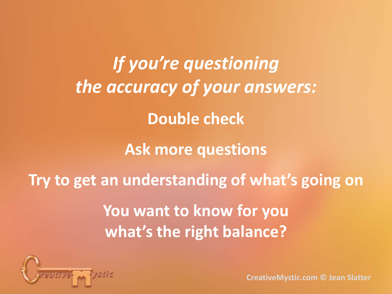*If you're questioning the accuracy of your answers:* **Double check Ask more questions Try to get an understanding of what's going on You want to know for you what's the right balance?**

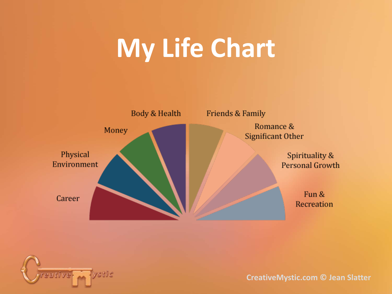# **My Life Chart**



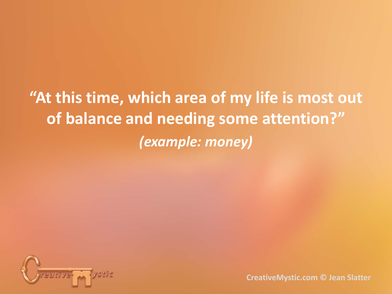**"At this time, which area of my life is most out of balance and needing some attention?"** *(example: money)*

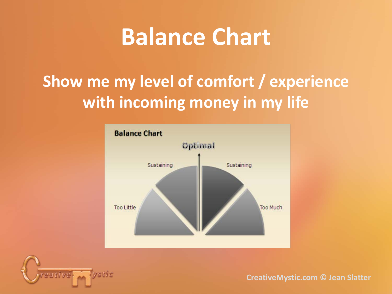### **Balance Chart**

### **Show me my level of comfort / experience with incoming money in my life**



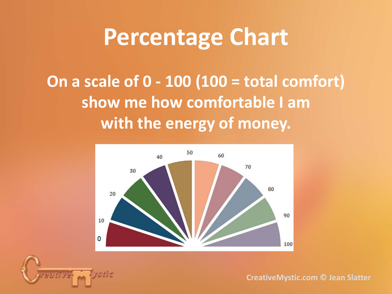### **Percentage Chart**

**On a scale of 0 - 100 (100 = total comfort) show me how comfortable I am with the energy of money.**

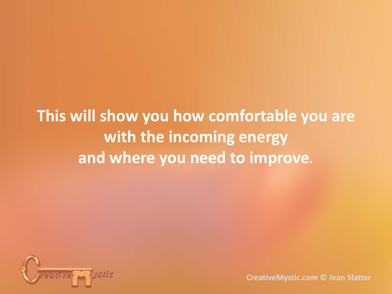**This will show you how comfortable you are with the incoming energy and where you need to improve***.*

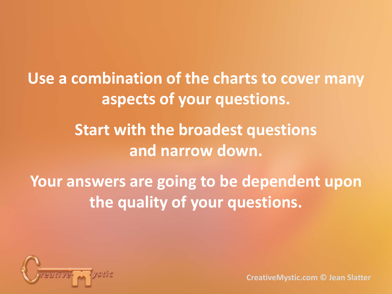**Use a combination of the charts to cover many aspects of your questions. Start with the broadest questions and narrow down. Your answers are going to be dependent upon** 

**the quality of your questions.**

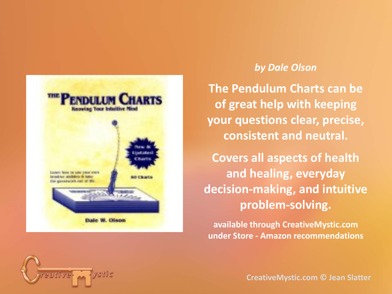

#### *by Dale Olson*

**The Pendulum Charts can be of great help with keeping your questions clear, precise, consistent and neutral.**

**Covers all aspects of health and healing, everyday decision-making, and intuitive problem-solving.**

**available through CreativeMystic.com under Store - Amazon recommendations**

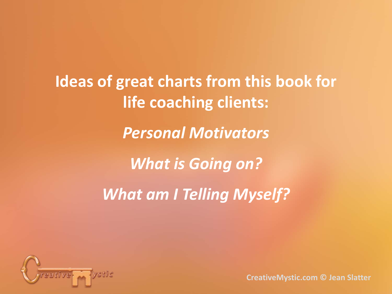**Ideas of great charts from this book for life coaching clients:** *Personal Motivators What is Going on? What am I Telling Myself?*

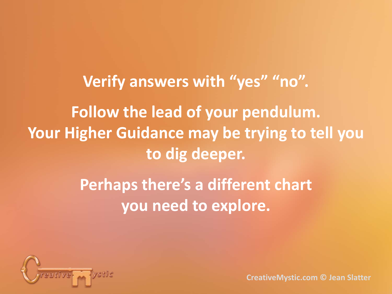**Verify answers with "yes" "no". Follow the lead of your pendulum. Your Higher Guidance may be trying to tell you to dig deeper.**

> **Perhaps there's a different chart you need to explore.**

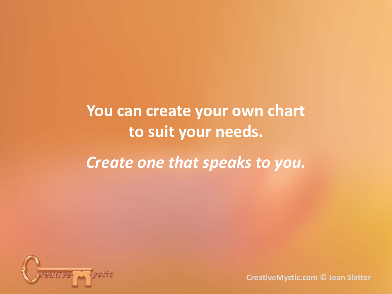### **You can create your own chart to suit your needs.** *Create one that speaks to you.*

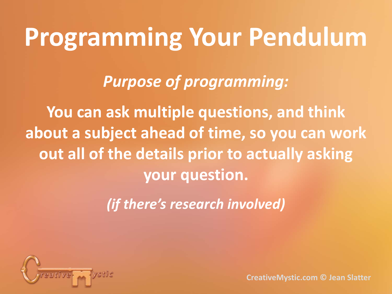# **Programming Your Pendulum**

*Purpose of programming:*

**You can ask multiple questions, and think about a subject ahead of time, so you can work out all of the details prior to actually asking your question.**

*(if there's research involved)*

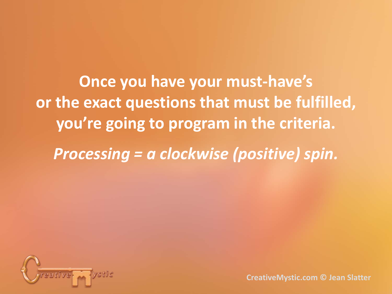**Once you have your must-have's or the exact questions that must be fulfilled, you're going to program in the criteria.**

*Processing = a clockwise (positive) spin.*